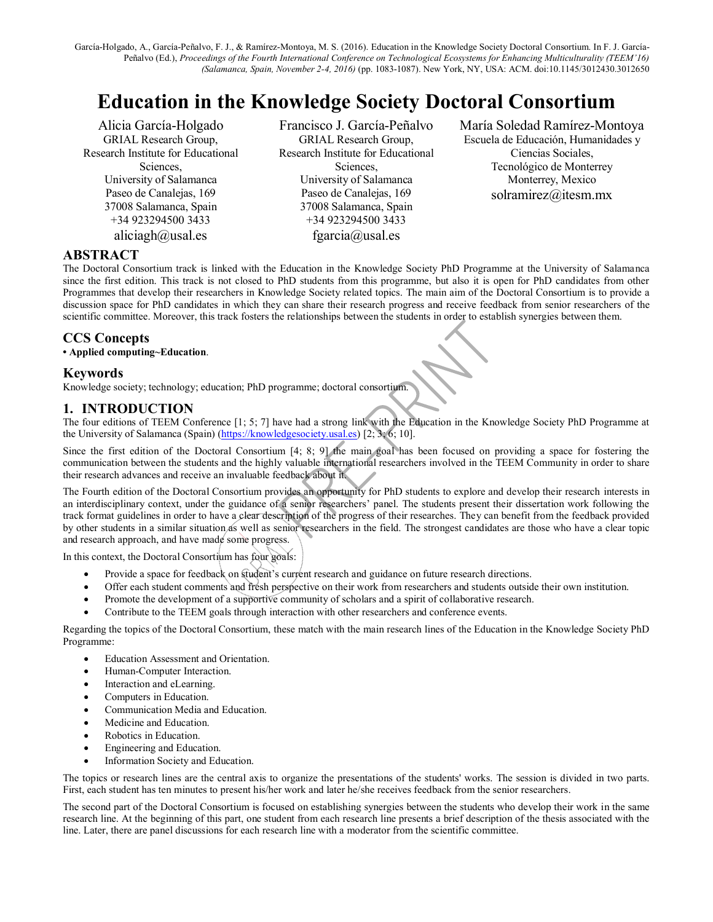García-Holgado, A., García-Peñalvo, F. J., & Ramírez-Montoya, M. S. (2016). Education in the Knowledge Society Doctoral Consortium. In F. J. García-Peñalvo (Ed.), *Proceedings of the Fourth International Conference on Technological Ecosystems for Enhancing Multiculturality (TEEM'16) (Salamanca, Spain, November 2-4, 2016)* (pp. 1083-1087). New York, NY, USA: ACM. doi:10.1145/3012430.3012650

## **Education in the Knowledge Society Doctoral Consortium**

Alicia García-Holgado GRIAL Research Group, Research Institute for Educational Sciences, University of Salamanca Paseo de Canalejas, 169 37008 Salamanca, Spain +34 923294500 3433 aliciagh@usal.es

Francisco J. García-Peñalvo GRIAL Research Group, Research Institute for Educational Sciences, University of Salamanca Paseo de Canalejas, 169 37008 Salamanca, Spain +34 923294500 3433 fgarcia@usal.es

María Soledad Ramírez-Montoya Escuela de Educación, Humanidades y Ciencias Sociales, Tecnológico de Monterrey Monterrey, Mexico solramirez@itesm.mx

## **ABSTRACT**

The Doctoral Consortium track is linked with the Education in the Knowledge Society PhD Programme at the University of Salamanca since the first edition. This track is not closed to PhD students from this programme, but also it is open for PhD candidates from other Programmes that develop their researchers in Knowledge Society related topics. The main aim of the Doctoral Consortium is to provide a discussion space for PhD candidates in which they can share their research progress and receive feedback from senior researchers of the scientific committee. Moreover, this track fosters the relationships between the students in order to establish synergies between them.

## **CCS Concepts**

**• Applied computing~Education**.

#### **Keywords**

Knowledge society; technology; education; PhD programme; doctoral consortium.

#### **1. INTRODUCTION**

The four editions of TEEM Conference [1; 5; 7] have had a strong link with the Education in the Knowledge Society PhD Programme at the University of Salamanca (Spain) [\(https://knowledgesociety.usal.es\)](https://knowledgesociety.usal.es/) [2; 3; 6; 10].

Since the first edition of the Doctoral Consortium [4; 8; 9] the main goal has been focused on providing a space for fostering the communication between the students and the highly valuable international researchers involved in the TEEM Community in order to share their research advances and receive an invaluable feedback about it.

The Fourth edition of the Doctoral Consortium provides an opportunity for PhD students to explore and develop their research interests in an interdisciplinary context, under the guidance of a senior researchers' panel. The students present their dissertation work following the track format guidelines in order to have a clear description of the progress of their researches. They can benefit from the feedback provided by other students in a similar situation as well as senior researchers in the field. The strongest candidates are those who have a clear topic and research approach, and have made some progress. **CCS Concepts**<br> **CCS Concepts**<br> **Applied computing-Education**. The programme, doctoral consorting<br> **Knowledge society, technology, education**, PhD programme, doctoral consorting<br> **Knowledge society, the concept and a stron** 

In this context, the Doctoral Consortium has four goals:

- Provide a space for feedback on student's current research and guidance on future research directions.
- Offer each student comments and fresh perspective on their work from researchers and students outside their own institution.
- Promote the development of a supportive community of scholars and a spirit of collaborative research.
- Contribute to the TEEM goals through interaction with other researchers and conference events.

Regarding the topics of the Doctoral Consortium, these match with the main research lines of the Education in the Knowledge Society PhD Programme:

- Education Assessment and Orientation.
- Human-Computer Interaction.
- Interaction and eLearning.
- Computers in Education.
- Communication Media and Education.
- Medicine and Education.
- Robotics in Education.
- Engineering and Education.
- Information Society and Education.

The topics or research lines are the central axis to organize the presentations of the students' works. The session is divided in two parts. First, each student has ten minutes to present his/her work and later he/she receives feedback from the senior researchers.

The second part of the Doctoral Consortium is focused on establishing synergies between the students who develop their work in the same research line. At the beginning of this part, one student from each research line presents a brief description of the thesis associated with the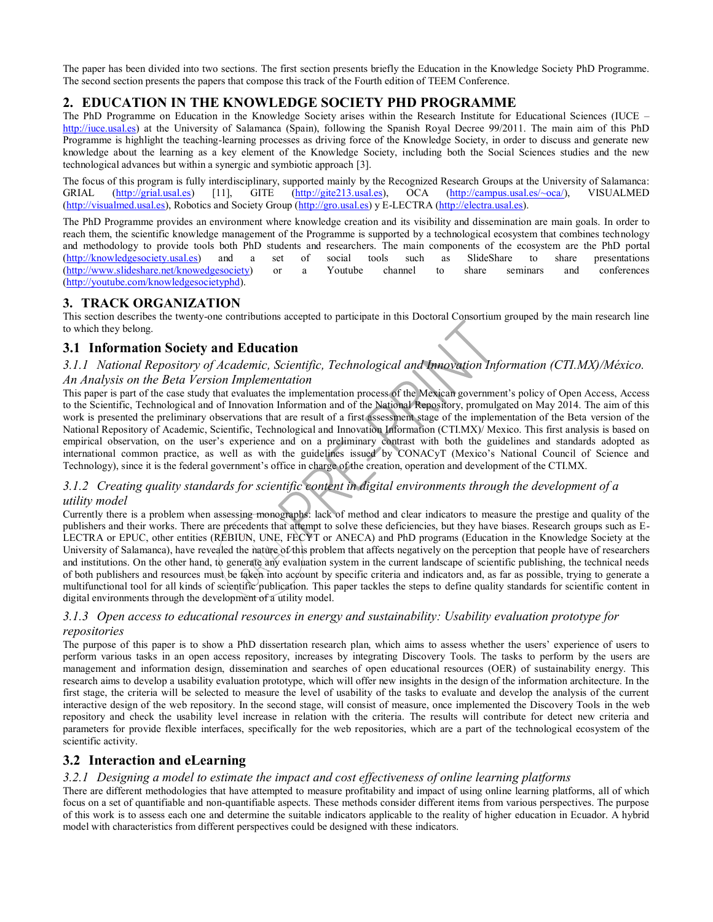The paper has been divided into two sections. The first section presents briefly the Education in the Knowledge Society PhD Programme. The second section presents the papers that compose this track of the Fourth edition of TEEM Conference.

## **2. EDUCATION IN THE KNOWLEDGE SOCIETY PHD PROGRAMME**

The PhD Programme on Education in the Knowledge Society arises within the Research Institute for Educational Sciences (IUCE – [http://iuce.usal.es\)](http://iuce.usal.es/) at the University of Salamanca (Spain), following the Spanish Royal Decree 99/2011. The main aim of this PhD Programme is highlight the teaching-learning processes as driving force of the Knowledge Society, in order to discuss and generate new knowledge about the learning as a key element of the Knowledge Society, including both the Social Sciences studies and the new technological advances but within a synergic and symbiotic approach [3].

The focus of this program is fully interdisciplinary, supported mainly by the Recognized Research Groups at the University of Salamanca:<br>GRIAL (http://grial.usal.es) [11], GITE (http://gite213.usal.es), OCA (http://campus. GRIAL [\(http://grial.usal.es\)](http://grial.usal.es/) [11], GITE [\(http://gite213.usal.es\)](http://gite213.usal.es/), OCA [\(http://campus.usal.es/~oca/\)](http://campus.usal.es/~oca/), VISUALMED [\(http://visualmed.usal.es\)](http://visualmed.usal.es/), Robotics and Society Group [\(http://gro.usal.es\)](http://gro.usal.es/) y E-LECTRA [\(http://electra.usal.es\)](http://electra.usal.es/).

The PhD Programme provides an environment where knowledge creation and its visibility and dissemination are main goals. In order to reach them, the scientific knowledge management of the Programme is supported by a technological ecosystem that combines technology and methodology to provide tools both PhD students and researchers. The main components of the ecosystem are the PhD portal [\(http://knowledgesociety.usal.es\)](http://knowledgesociety.usal.es/) and a set of social tools such as SlideShare to share presentations [\(http://www.slideshare.net/knowedgesociety\)](http://www.slideshare.net/knowedgesociety) or a Youtube channel to share seminars and conferences [\(http://youtube.com/knowledgesocietyphd\)](http://youtube.com/knowledgesocietyphd).

#### **3. TRACK ORGANIZATION**

This section describes the twenty-one contributions accepted to participate in this Doctoral Consortium grouped by the main research line to which they belong.

## **3.1 Information Society and Education**

#### *3.1.1 National Repository of Academic, Scientific, Technological and Innovation Information (CTI.MX)/México. An Analysis on the Beta Version Implementation*

This paper is part of the case study that evaluates the implementation process of the Mexican government's policy of Open Access, Access to the Scientific, Technological and of Innovation Information and of the National Repository, promulgated on May 2014. The aim of this work is presented the preliminary observations that are result of a first assessment stage of the implementation of the Beta version of the National Repository of Academic, Scientific, Technological and Innovation Information (CTI.MX)/ Mexico. This first analysis is based on empirical observation, on the user's experience and on a preliminary contrast with both the guidelines and standards adopted as international common practice, as well as with the guidelines issued by CONACyT (Mexico's National Council of Science and Technology), since it is the federal government's office in charge of the creation, operation and development of the CTI.MX.

#### *3.1.2 Creating quality standards for scientific content in digital environments through the development of a utility model*

Currently there is a problem when assessing monographs: lack of method and clear indicators to measure the prestige and quality of the publishers and their works. There are precedents that attempt to solve these deficiencies, but they have biases. Research groups such as E-LECTRA or EPUC, other entities (REBIUN, UNE, FECYT or ANECA) and PhD programs (Education in the Knowledge Society at the University of Salamanca), have revealed the nature of this problem that affects negatively on the perception that people have of researchers and institutions. On the other hand, to generate any evaluation system in the current landscape of scientific publishing, the technical needs of both publishers and resources must be taken into account by specific criteria and indicators and, as far as possible, trying to generate a multifunctional tool for all kinds of scientific publication. This paper tackles the steps to define quality standards for scientific content in digital environments through the development of a utility model.

#### *3.1.3 Open access to educational resources in energy and sustainability: Usability evaluation prototype for repositories*

The purpose of this paper is to show a PhD dissertation research plan, which aims to assess whether the users' experience of users to perform various tasks in an open access repository, increases by integrating Discovery Tools. The tasks to perform by the users are management and information design, dissemination and searches of open educational resources (OER) of sustainability energy. This research aims to develop a usability evaluation prototype, which will offer new insights in the design of the information architecture. In the first stage, the criteria will be selected to measure the level of usability of the tasks to evaluate and develop the analysis of the current interactive design of the web repository. In the second stage, will consist of measure, once implemented the Discovery Tools in the web repository and check the usability level increase in relation with the criteria. The results will contribute for detect new criteria and parameters for provide flexible interfaces, specifically for the web repositories, which are a part of the technological ecosystem of the scientific activity. model with the system and the beat levels from the model with characteristics and the model with the system of the Beat levels for the Beat levels for the Beat levels for the Beat levels from the beat levels from the beat

## **3.2 Interaction and eLearning**

#### *3.2.1 Designing a model to estimate the impact and cost effectiveness of online learning platforms*

There are different methodologies that have attempted to measure profitability and impact of using online learning platforms, all of which focus on a set of quantifiable and non-quantifiable aspects. These methods consider different items from various perspectives. The purpose of this work is to assess each one and determine the suitable indicators applicable to the reality of higher education in Ecuador. A hybrid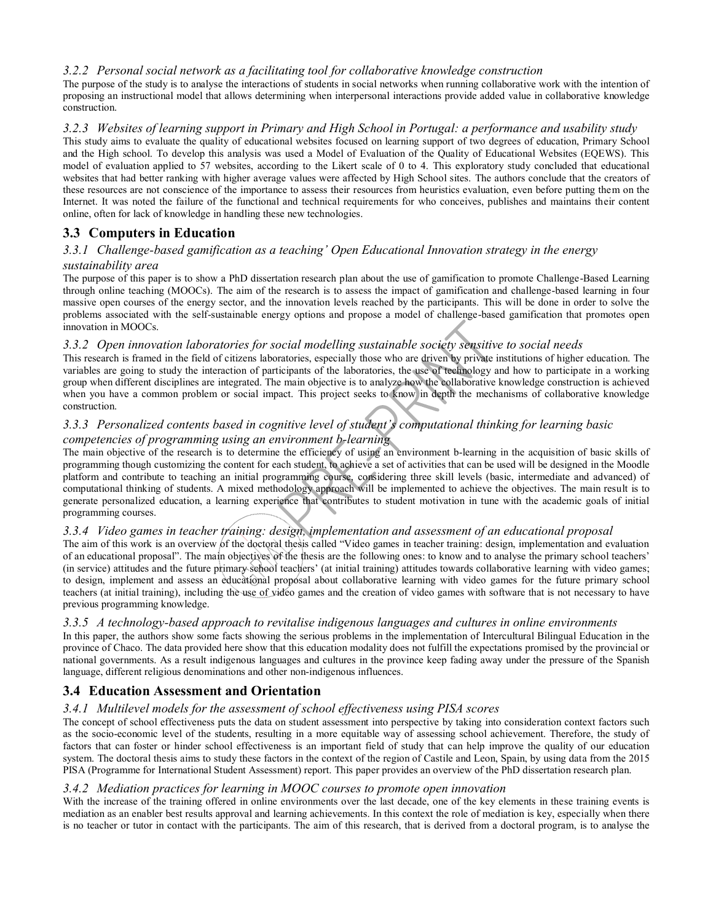#### *3.2.2 Personal social network as a facilitating tool for collaborative knowledge construction*

The purpose of the study is to analyse the interactions of students in social networks when running collaborative work with the intention of proposing an instructional model that allows determining when interpersonal interactions provide added value in collaborative knowledge construction.

#### *3.2.3 Websites of learning support in Primary and High School in Portugal: a performance and usability study*

This study aims to evaluate the quality of educational websites focused on learning support of two degrees of education, Primary School and the High school. To develop this analysis was used a Model of Evaluation of the Quality of Educational Websites (EQEWS). This model of evaluation applied to 57 websites, according to the Likert scale of 0 to 4. This exploratory study concluded that educational websites that had better ranking with higher average values were affected by High School sites. The authors conclude that the creators of these resources are not conscience of the importance to assess their resources from heuristics evaluation, even before putting them on the Internet. It was noted the failure of the functional and technical requirements for who conceives, publishes and maintains their content online, often for lack of knowledge in handling these new technologies.

## **3.3 Computers in Education**

## *3.3.1 Challenge-based gamification as a teaching' Open Educational Innovation strategy in the energy*

#### *sustainability area*

The purpose of this paper is to show a PhD dissertation research plan about the use of gamification to promote Challenge-Based Learning through online teaching (MOOCs). The aim of the research is to assess the impact of gamification and challenge-based learning in four massive open courses of the energy sector, and the innovation levels reached by the participants. This will be done in order to solve the problems associated with the self-sustainable energy options and propose a model of challenge-based gamification that promotes open innovation in MOOCs.

#### *3.3.2 Open innovation laboratories for social modelling sustainable society sensitive to social needs*

This research is framed in the field of citizens laboratories, especially those who are driven by private institutions of higher education. The variables are going to study the interaction of participants of the laboratories, the use of technology and how to participate in a working group when different disciplines are integrated. The main objective is to analyze how the collaborative knowledge construction is achieved when you have a common problem or social impact. This project seeks to know in depth the mechanisms of collaborative knowledge construction.

#### *3.3.3 Personalized contents based in cognitive level of student's computational thinking for learning basic competencies of programming using an environment b-learning*

The main objective of the research is to determine the efficiency of using an environment b-learning in the acquisition of basic skills of programming though customizing the content for each student, to achieve a set of activities that can be used will be designed in the Moodle platform and contribute to teaching an initial programming course, considering three skill levels (basic, intermediate and advanced) of computational thinking of students. A mixed methodology approach will be implemented to achieve the objectives. The main result is to generate personalized education, a learning experience that contributes to student motivation in tune with the academic goals of initial programming courses.

#### *3.3.4 Video games in teacher training: design, implementation and assessment of an educational proposal*

The aim of this work is an overview of the doctoral thesis called "Video games in teacher training: design, implementation and evaluation of an educational proposal". The main objectives of the thesis are the following ones: to know and to analyse the primary school teachers' (in service) attitudes and the future primary school teachers' (at initial training) attitudes towards collaborative learning with video games; to design, implement and assess an educational proposal about collaborative learning with video games for the future primary school teachers (at initial training), including the use of video games and the creation of video games with software that is not necessary to have previous programming knowledge. inno is noted to the interest or the statistic methods are interesting to the participants. This research is no teacher or the participants of the participants of the bosonics, the electrom by a statistic weak in the metho

#### *3.3.5 A technology-based approach to revitalise indigenous languages and cultures in online environments*

In this paper, the authors show some facts showing the serious problems in the implementation of Intercultural Bilingual Education in the province of Chaco. The data provided here show that this education modality does not fulfill the expectations promised by the provincial or national governments. As a result indigenous languages and cultures in the province keep fading away under the pressure of the Spanish language, different religious denominations and other non-indigenous influences.

#### **3.4 Education Assessment and Orientation**

#### *3.4.1 Multilevel models for the assessment of school effectiveness using PISA scores*

The concept of school effectiveness puts the data on student assessment into perspective by taking into consideration context factors such as the socio-economic level of the students, resulting in a more equitable way of assessing school achievement. Therefore, the study of factors that can foster or hinder school effectiveness is an important field of study that can help improve the quality of our education system. The doctoral thesis aims to study these factors in the context of the region of Castile and Leon, Spain, by using data from the 2015 PISA (Programme for International Student Assessment) report. This paper provides an overview of the PhD dissertation research plan.

#### *3.4.2 Mediation practices for learning in MOOC courses to promote open innovation*

With the increase of the training offered in online environments over the last decade, one of the key elements in these training events is mediation as an enabler best results approval and learning achievements. In this context the role of mediation is key, especially when there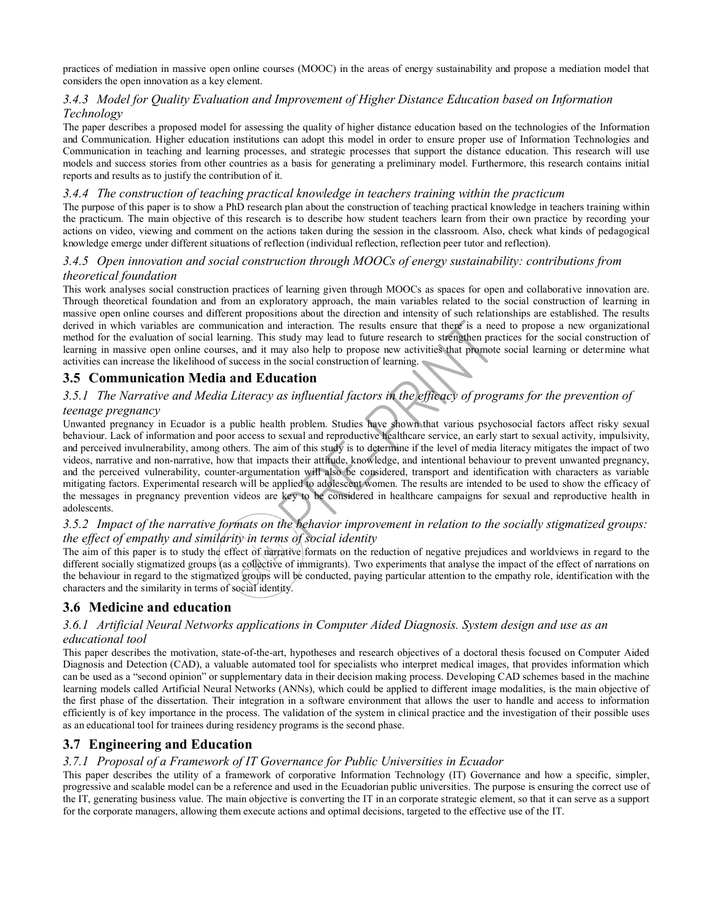practices of mediation in massive open online courses (MOOC) in the areas of energy sustainability and propose a mediation model that considers the open innovation as a key element.

#### *3.4.3 Model for Quality Evaluation and Improvement of Higher Distance Education based on Information Technology*

The paper describes a proposed model for assessing the quality of higher distance education based on the technologies of the Information and Communication. Higher education institutions can adopt this model in order to ensure proper use of Information Technologies and Communication in teaching and learning processes, and strategic processes that support the distance education. This research will use models and success stories from other countries as a basis for generating a preliminary model. Furthermore, this research contains initial reports and results as to justify the contribution of it.

#### *3.4.4 The construction of teaching practical knowledge in teachers training within the practicum*

The purpose of this paper is to show a PhD research plan about the construction of teaching practical knowledge in teachers training within the practicum. The main objective of this research is to describe how student teachers learn from their own practice by recording your actions on video, viewing and comment on the actions taken during the session in the classroom. Also, check what kinds of pedagogical knowledge emerge under different situations of reflection (individual reflection, reflection peer tutor and reflection).

#### *3.4.5 Open innovation and social construction through MOOCs of energy sustainability: contributions from theoretical foundation*

This work analyses social construction practices of learning given through MOOCs as spaces for open and collaborative innovation are. Through theoretical foundation and from an exploratory approach, the main variables related to the social construction of learning in massive open online courses and different propositions about the direction and intensity of such relationships are established. The results derived in which variables are communication and interaction. The results ensure that there is a need to propose a new organizational method for the evaluation of social learning. This study may lead to future research to strengthen practices for the social construction of learning in massive open online courses, and it may also help to propose new activities that promote social learning or determine what activities can increase the likelihood of success in the social construction of learning.

## **3.5 Communication Media and Education**

#### *3.5.1 The Narrative and Media Literacy as influential factors in the efficacy of programs for the prevention of teenage pregnancy*

Unwanted pregnancy in Ecuador is a public health problem. Studies have shown that various psychosocial factors affect risky sexual behaviour. Lack of information and poor access to sexual and reproductive healthcare service, an early start to sexual activity, impulsivity, and perceived invulnerability, among others. The aim of this study is to determine if the level of media literacy mitigates the impact of two videos, narrative and non-narrative, how that impacts their attitude, knowledge, and intentional behaviour to prevent unwanted pregnancy, and the perceived vulnerability, counter-argumentation will also be considered, transport and identification with characters as variable mitigating factors. Experimental research will be applied to adolescent women. The results are intended to be used to show the efficacy of the messages in pregnancy prevention videos are key to be considered in healthcare campaigns for sexual and reproductive health in adolescents. derived in which variables are communication and interaction. The results converte that the present in the corporation and the corporation of sacking is massive open othic corresponds and them able below the rest of the pr

#### *3.5.2 Impact of the narrative formats on the behavior improvement in relation to the socially stigmatized groups: the effect of empathy and similarity in terms of social identity*

The aim of this paper is to study the effect of narrative formats on the reduction of negative prejudices and worldviews in regard to the different socially stigmatized groups (as a collective of immigrants). Two experiments that analyse the impact of the effect of narrations on the behaviour in regard to the stigmatized groups will be conducted, paying particular attention to the empathy role, identification with the characters and the similarity in terms of social identity.

## **3.6 Medicine and education**

#### *3.6.1 Artificial Neural Networks applications in Computer Aided Diagnosis. System design and use as an educational tool*

This paper describes the motivation, state-of-the-art, hypotheses and research objectives of a doctoral thesis focused on Computer Aided Diagnosis and Detection (CAD), a valuable automated tool for specialists who interpret medical images, that provides information which can be used as a "second opinion" or supplementary data in their decision making process. Developing CAD schemes based in the machine learning models called Artificial Neural Networks (ANNs), which could be applied to different image modalities, is the main objective of the first phase of the dissertation. Their integration in a software environment that allows the user to handle and access to information efficiently is of key importance in the process. The validation of the system in clinical practice and the investigation of their possible uses as an educational tool for trainees during residency programs is the second phase.

## **3.7 Engineering and Education**

#### *3.7.1 Proposal of a Framework of IT Governance for Public Universities in Ecuador*

This paper describes the utility of a framework of corporative Information Technology (IT) Governance and how a specific, simpler, progressive and scalable model can be a reference and used in the Ecuadorian public universities. The purpose is ensuring the correct use of the IT, generating business value. The main objective is converting the IT in an corporate strategic element, so that it can serve as a support